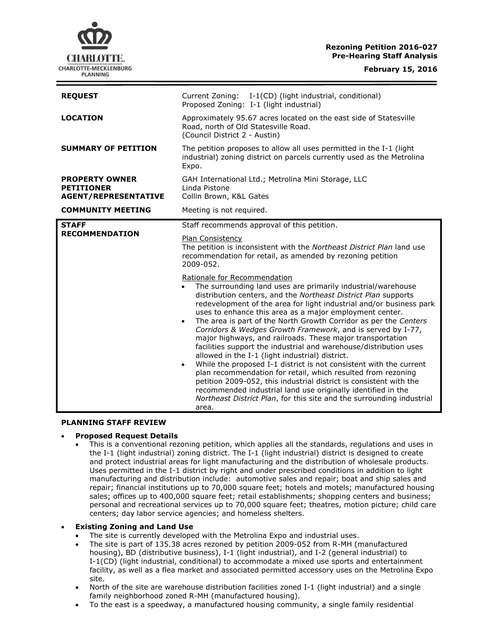# **Rezoning Petition 2016-027 Pre-Hearing Staff Analysis**



| <b>REQUEST</b>                                                                                        | Current Zoning: I-1(CD) (light industrial, conditional)<br>Proposed Zoning: I-1 (light industrial)                                                                                                                                                                                                                                                                                                                                                                                                                                                                                                                                                                                                                                                                                                                                                                                                                                                                                                               |
|-------------------------------------------------------------------------------------------------------|------------------------------------------------------------------------------------------------------------------------------------------------------------------------------------------------------------------------------------------------------------------------------------------------------------------------------------------------------------------------------------------------------------------------------------------------------------------------------------------------------------------------------------------------------------------------------------------------------------------------------------------------------------------------------------------------------------------------------------------------------------------------------------------------------------------------------------------------------------------------------------------------------------------------------------------------------------------------------------------------------------------|
| <b>LOCATION</b>                                                                                       | Approximately 95.67 acres located on the east side of Statesville<br>Road, north of Old Statesville Road.<br>(Council District 2 - Austin)                                                                                                                                                                                                                                                                                                                                                                                                                                                                                                                                                                                                                                                                                                                                                                                                                                                                       |
| <b>SUMMARY OF PETITION</b>                                                                            | The petition proposes to allow all uses permitted in the I-1 (light<br>industrial) zoning district on parcels currently used as the Metrolina<br>Expo.                                                                                                                                                                                                                                                                                                                                                                                                                                                                                                                                                                                                                                                                                                                                                                                                                                                           |
| <b>PROPERTY OWNER</b><br><b>PETITIONER</b><br><b>AGENT/REPRESENTATIVE</b><br><b>COMMUNITY MEETING</b> | GAH International Ltd.; Metrolina Mini Storage, LLC<br>Linda Pistone<br>Collin Brown, K&L Gates<br>Meeting is not required.                                                                                                                                                                                                                                                                                                                                                                                                                                                                                                                                                                                                                                                                                                                                                                                                                                                                                      |
|                                                                                                       |                                                                                                                                                                                                                                                                                                                                                                                                                                                                                                                                                                                                                                                                                                                                                                                                                                                                                                                                                                                                                  |
| <b>STAFF</b><br><b>RECOMMENDATION</b>                                                                 | Staff recommends approval of this petition.                                                                                                                                                                                                                                                                                                                                                                                                                                                                                                                                                                                                                                                                                                                                                                                                                                                                                                                                                                      |
|                                                                                                       | Plan Consistency<br>The petition is inconsistent with the Northeast District Plan land use<br>recommendation for retail, as amended by rezoning petition<br>2009-052.                                                                                                                                                                                                                                                                                                                                                                                                                                                                                                                                                                                                                                                                                                                                                                                                                                            |
|                                                                                                       | Rationale for Recommendation<br>The surrounding land uses are primarily industrial/warehouse<br>distribution centers, and the Northeast District Plan supports<br>redevelopment of the area for light industrial and/or business park<br>uses to enhance this area as a major employment center.<br>The area is part of the North Growth Corridor as per the Centers<br>$\bullet$<br>Corridors & Wedges Growth Framework, and is served by I-77,<br>major highways, and railroads. These major transportation<br>facilities support the industrial and warehouse/distribution uses<br>allowed in the I-1 (light industrial) district.<br>While the proposed I-1 district is not consistent with the current<br>$\bullet$<br>plan recommendation for retail, which resulted from rezoning<br>petition 2009-052, this industrial district is consistent with the<br>recommended industrial land use originally identified in the<br>Northeast District Plan, for this site and the surrounding industrial<br>area. |

#### **PLANNING STAFF REVIEW**

### **Proposed Request Details**

 This is a conventional rezoning petition, which applies all the standards, regulations and uses in the I-1 (light industrial) zoning district. The I-1 (light industrial) district is designed to create and protect industrial areas for light manufacturing and the distribution of wholesale products. Uses permitted in the I-1 district by right and under prescribed conditions in addition to light manufacturing and distribution include: automotive sales and repair; boat and ship sales and repair; financial institutions up to 70,000 square feet; hotels and motels; manufactured housing sales; offices up to 400,000 square feet; retail establishments; shopping centers and business; personal and recreational services up to 70,000 square feet; theatres, motion picture; child care centers; day labor service agencies; and homeless shelters.

### **Existing Zoning and Land Use**

- The site is currently developed with the Metrolina Expo and industrial uses.
- The site is part of 135.38 acres rezoned by petition 2009-052 from R-MH (manufactured housing), BD (distributive business), I-1 (light industrial), and I-2 (general industrial) to I-1(CD) (light industrial, conditional) to accommodate a mixed use sports and entertainment facility, as well as a flea market and associated permitted accessory uses on the Metrolina Expo site.
- North of the site are warehouse distribution facilities zoned I-1 (light industrial) and a single family neighborhood zoned R-MH (manufactured housing).
- To the east is a speedway, a manufactured housing community, a single family residential